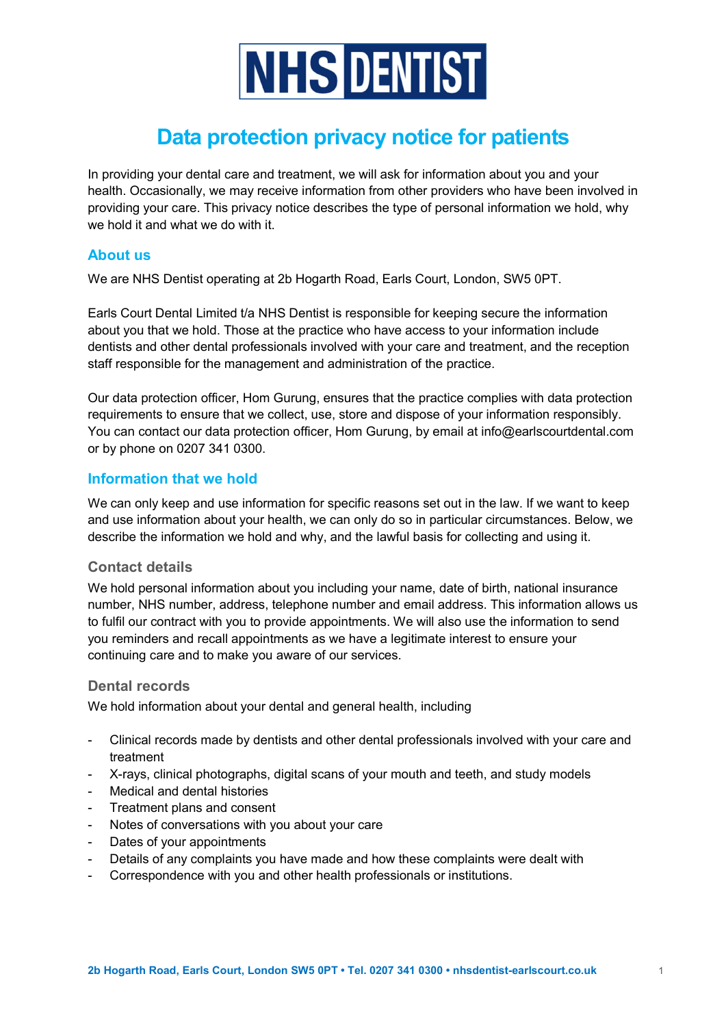

# Data protection privacy notice for patients

In providing your dental care and treatment, we will ask for information about you and your health. Occasionally, we may receive information from other providers who have been involved in providing your care. This privacy notice describes the type of personal information we hold, why we hold it and what we do with it.

## About us

We are NHS Dentist operating at 2b Hogarth Road, Earls Court, London, SW5 0PT.

Earls Court Dental Limited t/a NHS Dentist is responsible for keeping secure the information about you that we hold. Those at the practice who have access to your information include dentists and other dental professionals involved with your care and treatment, and the reception staff responsible for the management and administration of the practice.

Our data protection officer, Hom Gurung, ensures that the practice complies with data protection requirements to ensure that we collect, use, store and dispose of your information responsibly. You can contact our data protection officer, Hom Gurung, by email at info@earlscourtdental.com or by phone on 0207 341 0300.

# Information that we hold

We can only keep and use information for specific reasons set out in the law. If we want to keep and use information about your health, we can only do so in particular circumstances. Below, we describe the information we hold and why, and the lawful basis for collecting and using it.

## Contact details

We hold personal information about you including your name, date of birth, national insurance number, NHS number, address, telephone number and email address. This information allows us to fulfil our contract with you to provide appointments. We will also use the information to send you reminders and recall appointments as we have a legitimate interest to ensure your continuing care and to make you aware of our services.

# Dental records

We hold information about your dental and general health, including

- Clinical records made by dentists and other dental professionals involved with your care and treatment
- X-rays, clinical photographs, digital scans of your mouth and teeth, and study models
- Medical and dental histories
- Treatment plans and consent
- Notes of conversations with you about your care
- Dates of your appointments
- Details of any complaints you have made and how these complaints were dealt with
- Correspondence with you and other health professionals or institutions.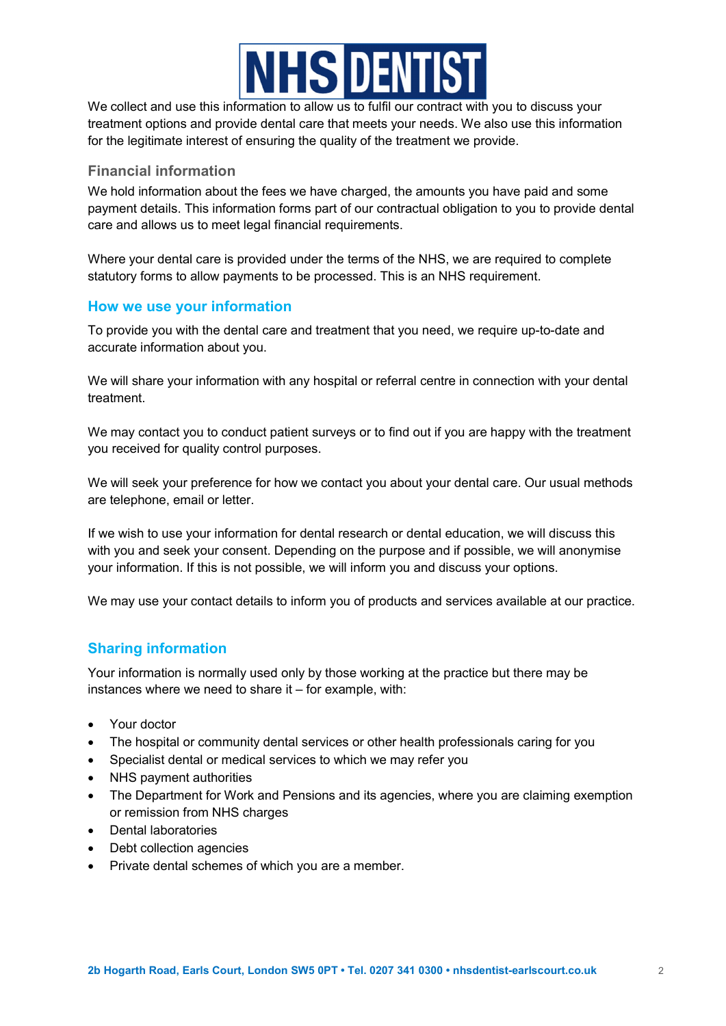

We collect and use this information to allow us to fulfil our contract with you to discuss your treatment options and provide dental care that meets your needs. We also use this information for the legitimate interest of ensuring the quality of the treatment we provide.

## Financial information

We hold information about the fees we have charged, the amounts you have paid and some payment details. This information forms part of our contractual obligation to you to provide dental care and allows us to meet legal financial requirements.

Where your dental care is provided under the terms of the NHS, we are required to complete statutory forms to allow payments to be processed. This is an NHS requirement.

#### How we use your information

To provide you with the dental care and treatment that you need, we require up-to-date and accurate information about you.

We will share your information with any hospital or referral centre in connection with your dental treatment.

We may contact you to conduct patient surveys or to find out if you are happy with the treatment you received for quality control purposes.

We will seek your preference for how we contact you about your dental care. Our usual methods are telephone, email or letter.

If we wish to use your information for dental research or dental education, we will discuss this with you and seek your consent. Depending on the purpose and if possible, we will anonymise your information. If this is not possible, we will inform you and discuss your options.

We may use your contact details to inform you of products and services available at our practice.

# Sharing information

Your information is normally used only by those working at the practice but there may be instances where we need to share it – for example, with:

- Your doctor
- The hospital or community dental services or other health professionals caring for you
- Specialist dental or medical services to which we may refer you
- NHS payment authorities
- The Department for Work and Pensions and its agencies, where you are claiming exemption or remission from NHS charges
- Dental laboratories
- Debt collection agencies
- Private dental schemes of which you are a member.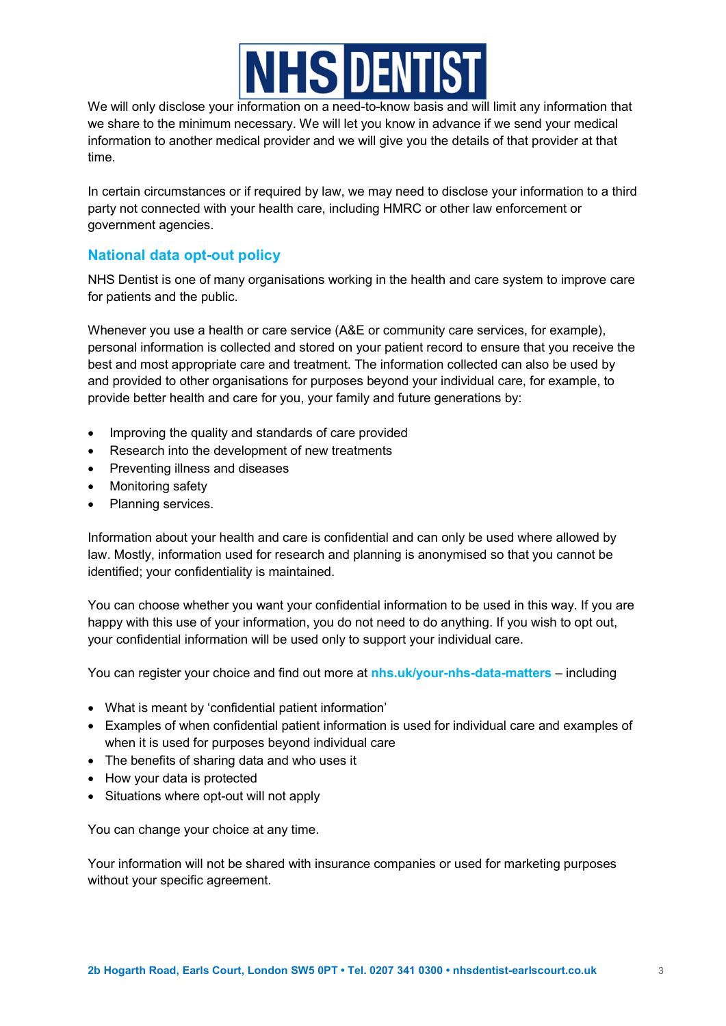

We will only disclose your information on a need-to-know basis and will limit any information that we share to the minimum necessary. We will let you know in advance if we send your medical information to another medical provider and we will give you the details of that provider at that time.

In certain circumstances or if required by law, we may need to disclose your information to a third party not connected with your health care, including HMRC or other law enforcement or government agencies.

# National data opt-out policy

NHS Dentist is one of many organisations working in the health and care system to improve care for patients and the public.

Whenever you use a health or care service (A&E or community care services, for example), personal information is collected and stored on your patient record to ensure that you receive the best and most appropriate care and treatment. The information collected can also be used by and provided to other organisations for purposes beyond your individual care, for example, to provide better health and care for you, your family and future generations by:

- Improving the quality and standards of care provided
- Research into the development of new treatments
- Preventing illness and diseases
- Monitoring safety
- Planning services.

Information about your health and care is confidential and can only be used where allowed by law. Mostly, information used for research and planning is anonymised so that you cannot be identified; your confidentiality is maintained.

You can choose whether you want your confidential information to be used in this way. If you are happy with this use of your information, you do not need to do anything. If you wish to opt out, your confidential information will be used only to support your individual care.

You can register your choice and find out more at nhs.uk/your-nhs-data-matters – including

- What is meant by 'confidential patient information'
- Examples of when confidential patient information is used for individual care and examples of when it is used for purposes beyond individual care
- The benefits of sharing data and who uses it
- How your data is protected
- Situations where opt-out will not apply

You can change your choice at any time.

Your information will not be shared with insurance companies or used for marketing purposes without your specific agreement.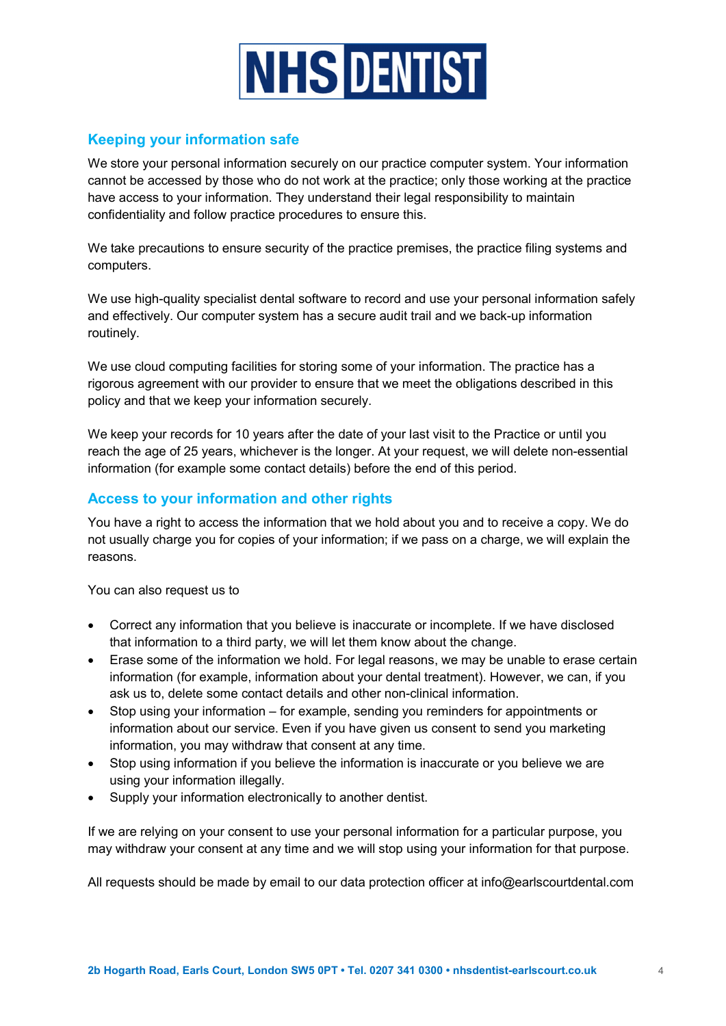

# Keeping your information safe

We store your personal information securely on our practice computer system. Your information cannot be accessed by those who do not work at the practice; only those working at the practice have access to your information. They understand their legal responsibility to maintain confidentiality and follow practice procedures to ensure this.

We take precautions to ensure security of the practice premises, the practice filing systems and computers.

We use high-quality specialist dental software to record and use your personal information safely and effectively. Our computer system has a secure audit trail and we back-up information routinely.

We use cloud computing facilities for storing some of your information. The practice has a rigorous agreement with our provider to ensure that we meet the obligations described in this policy and that we keep your information securely.

We keep your records for 10 years after the date of your last visit to the Practice or until you reach the age of 25 years, whichever is the longer. At your request, we will delete non-essential information (for example some contact details) before the end of this period.

# Access to your information and other rights

You have a right to access the information that we hold about you and to receive a copy. We do not usually charge you for copies of your information; if we pass on a charge, we will explain the reasons.

You can also request us to

- Correct any information that you believe is inaccurate or incomplete. If we have disclosed that information to a third party, we will let them know about the change.
- Erase some of the information we hold. For legal reasons, we may be unable to erase certain information (for example, information about your dental treatment). However, we can, if you ask us to, delete some contact details and other non-clinical information.
- Stop using your information for example, sending you reminders for appointments or information about our service. Even if you have given us consent to send you marketing information, you may withdraw that consent at any time.
- Stop using information if you believe the information is inaccurate or you believe we are using your information illegally.
- Supply your information electronically to another dentist.

If we are relying on your consent to use your personal information for a particular purpose, you may withdraw your consent at any time and we will stop using your information for that purpose.

All requests should be made by email to our data protection officer at info@earlscourtdental.com